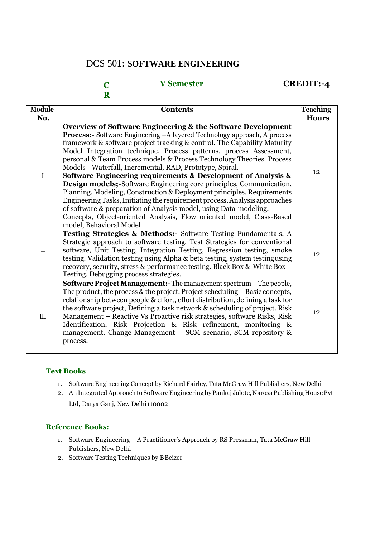## DCS 50**1: SOFTWARE ENGINEERING**

#### **C R V Semester CREDIT:-4**

| Module       | <b>Contents</b>                                                                                                                                                                                                                                                                                                                                                                                                                                                                                                                                                                                                                                                                                                                                                                                                                                                                                                     | <b>Teaching</b> |
|--------------|---------------------------------------------------------------------------------------------------------------------------------------------------------------------------------------------------------------------------------------------------------------------------------------------------------------------------------------------------------------------------------------------------------------------------------------------------------------------------------------------------------------------------------------------------------------------------------------------------------------------------------------------------------------------------------------------------------------------------------------------------------------------------------------------------------------------------------------------------------------------------------------------------------------------|-----------------|
| No.          |                                                                                                                                                                                                                                                                                                                                                                                                                                                                                                                                                                                                                                                                                                                                                                                                                                                                                                                     | <b>Hours</b>    |
| $\mathbf I$  | Overview of Software Engineering & the Software Development<br><b>Process:-</b> Software Engineering -A layered Technology approach, A process<br>framework & software project tracking & control. The Capability Maturity<br>Model Integration technique, Process patterns, process Assessment,<br>personal & Team Process models & Process Technology Theories. Process<br>Models -Waterfall, Incremental, RAD, Prototype, Spiral.<br>Software Engineering requirements & Development of Analysis &<br><b>Design models;-Software Engineering core principles, Communication,</b><br>Planning, Modeling, Construction & Deployment principles. Requirements<br>Engineering Tasks, Initiating the requirement process, Analysis approaches<br>of software & preparation of Analysis model, using Data modeling,<br>Concepts, Object-oriented Analysis, Flow oriented model, Class-Based<br>model, Behavioral Model | 12              |
| $\mathbf{I}$ | Testing Strategies & Methods:- Software Testing Fundamentals, A<br>Strategic approach to software testing. Test Strategies for conventional<br>software, Unit Testing, Integration Testing, Regression testing, smoke<br>testing. Validation testing using Alpha & beta testing, system testing using<br>recovery, security, stress & performance testing. Black Box & White Box<br>Testing. Debugging process strategies.                                                                                                                                                                                                                                                                                                                                                                                                                                                                                          | 12              |
| III          | <b>Software Project Management:</b> The management spectrum – The people,<br>The product, the process & the project. Project scheduling - Basic concepts,<br>relationship between people & effort, effort distribution, defining a task for<br>the software project, Defining a task network & scheduling of project. Risk<br>Management – Reactive Vs Proactive risk strategies, software Risks, Risk<br>Identification, Risk Projection & Risk refinement, monitoring &<br>management. Change Management – SCM scenario, SCM repository &<br>process.                                                                                                                                                                                                                                                                                                                                                             | 12              |

#### **Text Books**

- 1. Software Engineering Concept by Richard Fairley, Tata McGraw Hill Publishers, New Delhi
- 2. An Integrated Approach to Software Engineering by Pankaj Jalote, Narosa Publishing House Pvt

Ltd, Darya Ganj, New Delhi110002

- 1. Software Engineering A Practitioner's Approach by RS Pressman, Tata McGraw Hill Publishers, New Delhi
- 2. Software Testing Techniques by BBeizer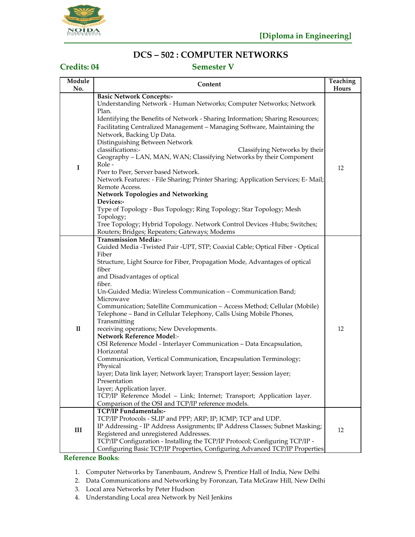

## **DCS – 502 : COMPUTER NETWORKS**

## **Credits: 04 Semester V**

| Module       | Content                                                                                                                                                                                                                                                                                                                                                                                                                                                                                                                                                                                                                                                                                                                                                                                                                                                                                                                                                                                                      | Teaching    |
|--------------|--------------------------------------------------------------------------------------------------------------------------------------------------------------------------------------------------------------------------------------------------------------------------------------------------------------------------------------------------------------------------------------------------------------------------------------------------------------------------------------------------------------------------------------------------------------------------------------------------------------------------------------------------------------------------------------------------------------------------------------------------------------------------------------------------------------------------------------------------------------------------------------------------------------------------------------------------------------------------------------------------------------|-------------|
| No.          |                                                                                                                                                                                                                                                                                                                                                                                                                                                                                                                                                                                                                                                                                                                                                                                                                                                                                                                                                                                                              |             |
| $\mathbf I$  | <b>Basic Network Concepts:-</b><br>Understanding Network - Human Networks; Computer Networks; Network<br>Plan.<br>Identifying the Benefits of Network - Sharing Information; Sharing Resources;<br>Facilitating Centralized Management - Managing Software, Maintaining the<br>Network, Backing Up Data.<br>Distinguishing Between Network<br>classifications:-<br>Classifying Networks by their<br>Geography - LAN, MAN, WAN; Classifying Networks by their Component<br>Role -<br>Peer to Peer, Server based Network.<br>Network Features: - File Sharing; Printer Sharing; Application Services; E-Mail;<br>Remote Access.<br><b>Network Topologies and Networking</b>                                                                                                                                                                                                                                                                                                                                    | Hours<br>12 |
|              | Devices:-<br>Type of Topology - Bus Topology; Ring Topology; Star Topology; Mesh<br>Topology;<br>Tree Topology; Hybrid Topology. Network Control Devices -Hubs; Switches;<br>Routers; Bridges; Repeaters; Gateways; Modems                                                                                                                                                                                                                                                                                                                                                                                                                                                                                                                                                                                                                                                                                                                                                                                   |             |
| $\mathbf{I}$ | <b>Transmission Media:-</b><br>Guided Media -Twisted Pair -UPT, STP; Coaxial Cable; Optical Fiber - Optical<br>Fiber<br>Structure, Light Source for Fiber, Propagation Mode, Advantages of optical<br>fiber<br>and Disadvantages of optical<br>fiber.<br>Un-Guided Media: Wireless Communication - Communication Band;<br>Microwave<br>Communication; Satellite Communication - Access Method; Cellular (Mobile)<br>Telephone - Band in Cellular Telephony, Calls Using Mobile Phones,<br>Transmitting<br>receiving operations; New Developments.<br>Network Reference Model:-<br>OSI Reference Model - Interlayer Communication - Data Encapsulation,<br>Horizontal<br>Communication, Vertical Communication, Encapsulation Terminology;<br>Physical<br>layer; Data link layer; Network layer; Transport layer; Session layer;<br>Presentation<br>layer; Application layer.<br>TCP/IP Reference Model - Link; Internet; Transport; Application layer.<br>Comparison of the OSI and TCP/IP reference models. | 12          |
| III          | TCP/IP Fundamentals:-<br>TCP/IP Protocols - SLIP and PPP; ARP; IP; ICMP; TCP and UDP.<br>IP Addressing - IP Address Assignments; IP Address Classes; Subnet Masking;<br>Registered and unregistered Addresses.<br>TCP/IP Configuration - Installing the TCP/IP Protocol; Configuring TCP/IP -<br>Configuring Basic TCP/IP Properties, Configuring Advanced TCP/IP Properties                                                                                                                                                                                                                                                                                                                                                                                                                                                                                                                                                                                                                                 | 12          |

- 1. Computer Networks by Tanenbaum, Andrew S, Prentice Hall of India, New Delhi
- 2. Data Communications and Networking by Foronzan, Tata McGraw Hill, New Delhi
- 3. Local area Networks by Peter Hudson
- 4. Understanding Local area Network by Neil Jenkins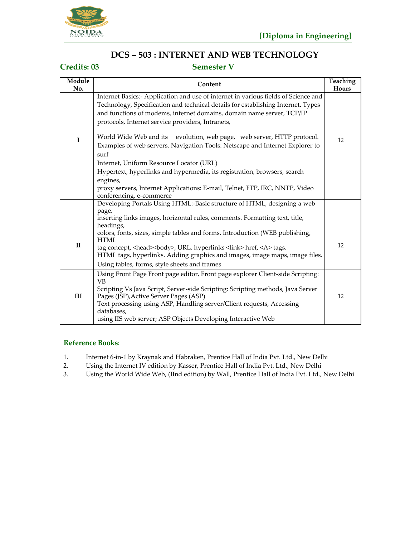

## **DCS – 503 : INTERNET AND WEB TECHNOLOGY**

### **Credits: 03 Semester V**

| Module<br>No. | Content                                                                                                                                                                                                                                                                                              | <b>Teaching</b><br>Hours |
|---------------|------------------------------------------------------------------------------------------------------------------------------------------------------------------------------------------------------------------------------------------------------------------------------------------------------|--------------------------|
|               | Internet Basics:- Application and use of internet in various fields of Science and<br>Technology, Specification and technical details for establishing Internet. Types<br>and functions of modems, internet domains, domain name server, TCP/IP<br>protocols, Internet service providers, Intranets, |                          |
| $\mathbf I$   | evolution, web page, web server, HTTP protocol.<br>World Wide Web and its<br>Examples of web servers. Navigation Tools: Netscape and Internet Explorer to<br>surf                                                                                                                                    | 12                       |
|               | Internet, Uniform Resource Locator (URL)<br>Hypertext, hyperlinks and hypermedia, its registration, browsers, search<br>engines,                                                                                                                                                                     |                          |
|               | proxy servers, Internet Applications: E-mail, Telnet, FTP, IRC, NNTP, Video<br>conferencing, e-commerce                                                                                                                                                                                              |                          |
|               | Developing Portals Using HTML:-Basic structure of HTML, designing a web                                                                                                                                                                                                                              |                          |
|               | page,<br>inserting links images, horizontal rules, comments. Formatting text, title,<br>headings,                                                                                                                                                                                                    |                          |
| $\mathbf{I}$  | colors, fonts, sizes, simple tables and forms. Introduction (WEB publishing,<br><b>HTML</b><br>tag concept, <head><br/>body&gt;, URL, hyperlinks <link/> href, <a> tags.<br/>HTML tags, hyperlinks. Adding graphics and images, image maps, image files.</a></head>                                  | 12                       |
|               | Using tables, forms, style sheets and frames<br>Using Front Page Front page editor, Front page explorer Client-side Scripting:                                                                                                                                                                       |                          |
| III           | <b>VB</b><br>Scripting Vs Java Script, Server-side Scripting: Scripting methods, Java Server<br>Pages (JSP), Active Server Pages (ASP)<br>Text processing using ASP, Handling server/Client requests, Accessing<br>databases,<br>using IIS web server; ASP Objects Developing Interactive Web        | 12                       |

- 1. Internet 6-in-1 by Kraynak and Habraken, Prentice Hall of India Pvt. Ltd., New Delhi<br>2. Using the Internet IV edition by Kasser, Prentice Hall of India Pvt. Ltd., New Delhi
- 2. Using the Internet IV edition by Kasser, Prentice Hall of India Pvt. Ltd., New Delhi
- 3. Using the World Wide Web, (IInd edition) by Wall, Prentice Hall of India Pvt. Ltd., New Delhi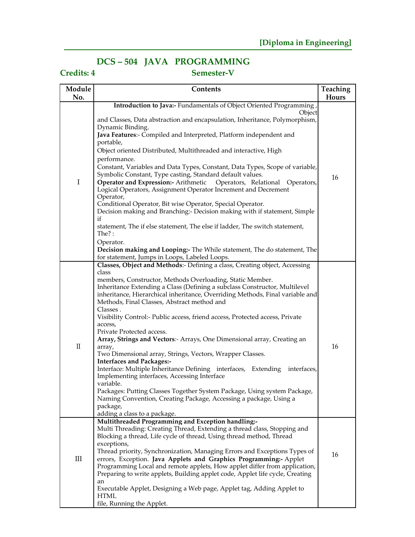# **DCS – 504 JAVA PROGRAMMING**

# **Credits: 4 Semester-V**

| Module   | Contents                                                                                                                                                                                                                                                                                                                                                                                                                                                                                                                                                                                                                                                                                                                                                                                                                                                                                                                                                                                           | Teaching |
|----------|----------------------------------------------------------------------------------------------------------------------------------------------------------------------------------------------------------------------------------------------------------------------------------------------------------------------------------------------------------------------------------------------------------------------------------------------------------------------------------------------------------------------------------------------------------------------------------------------------------------------------------------------------------------------------------------------------------------------------------------------------------------------------------------------------------------------------------------------------------------------------------------------------------------------------------------------------------------------------------------------------|----------|
| No.      |                                                                                                                                                                                                                                                                                                                                                                                                                                                                                                                                                                                                                                                                                                                                                                                                                                                                                                                                                                                                    | Hours    |
| I        | Introduction to Java:- Fundamentals of Object Oriented Programming,<br>Object<br>and Classes, Data abstraction and encapsulation, Inheritance, Polymorphism,<br>Dynamic Binding.<br>Java Features:- Compiled and Interpreted, Platform independent and<br>portable,<br>Object oriented Distributed, Multithreaded and interactive, High<br>performance.<br>Constant, Variables and Data Types, Constant, Data Types, Scope of variable,<br>Symbolic Constant, Type casting, Standard default values.<br>Operator and Expression:- Arithmetic Operators, Relational Operators,<br>Logical Operators, Assignment Operator Increment and Decrement<br>Operator,<br>Conditional Operator, Bit wise Operator, Special Operator.<br>Decision making and Branching:- Decision making with if statement, Simple<br>if<br>statement, The if else statement, The else if ladder, The switch statement,<br>The $?$ :<br>Operator.                                                                             | 16       |
|          | Decision making and Looping:- The While statement, The do statement, The<br>for statement, Jumps in Loops, Labeled Loops.                                                                                                                                                                                                                                                                                                                                                                                                                                                                                                                                                                                                                                                                                                                                                                                                                                                                          |          |
| $\rm II$ | Classes, Object and Methods:- Defining a class, Creating object, Accessing<br>class<br>members, Constructor, Methods Overloading, Static Member.<br>Inheritance Extending a Class (Defining a subclass Constructor, Multilevel<br>inheritance, Hierarchical inheritance, Overriding Methods, Final variable and<br>Methods, Final Classes, Abstract method and<br>Classes.<br>Visibility Control:- Public access, friend access, Protected access, Private<br>access,<br>Private Protected access.<br>Array, Strings and Vectors: Arrays, One Dimensional array, Creating an<br>array,<br>Two Dimensional array, Strings, Vectors, Wrapper Classes.<br><b>Interfaces and Packages:-</b><br>Interface: Multiple Inheritance Defining interfaces, Extending<br>interfaces,<br>Implementing interfaces, Accessing Interface<br>variable.<br>Packages: Putting Classes Together System Package, Using system Package,<br>Naming Convention, Creating Package, Accessing a package, Using a<br>package, | 16       |
| III      | adding a class to a package.<br>Multithreaded Programming and Exception handling:-<br>Multi Threading: Creating Thread, Extending a thread class, Stopping and<br>Blocking a thread, Life cycle of thread, Using thread method, Thread<br>exceptions,<br>Thread priority, Synchronization, Managing Errors and Exceptions Types of<br>errors, Exception. Java Applets and Graphics Programming:- Applet<br>Programming Local and remote applets, How applet differ from application,<br>Preparing to write applets, Building applet code, Applet life cycle, Creating<br>an<br>Executable Applet, Designing a Web page, Applet tag, Adding Applet to<br><b>HTML</b><br>file, Running the Applet.                                                                                                                                                                                                                                                                                                   | 16       |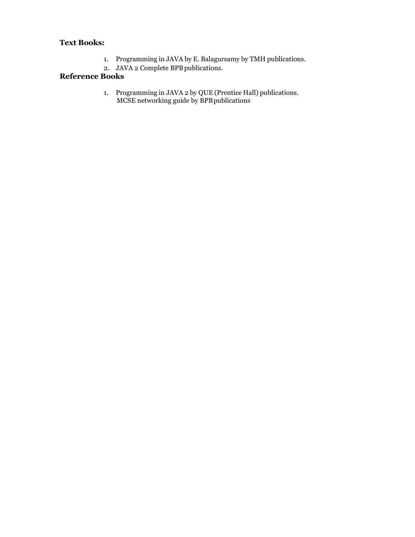### **Text Books:**

- 1. Programming in JAVA by E. Balagursamy by TMH publications.
- 2. JAVA 2 Complete BPB publications.

### **Reference Books**

1. Programming in JAVA 2 by QUE (Prentice Hall) publications. MCSE networking guide by BPBpublications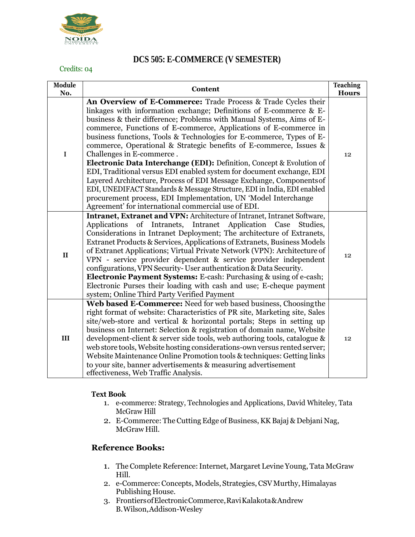

### **DCS 505: E-COMMERCE (V SEMESTER)**

#### Credits: 04

| Module<br>No. | Content                                                                                                                                                                                                                                                                                                                                                                                                                                                                                                                                                                                                                                                                                                                                                                                                                                                                                   | <b>Teaching</b><br><b>Hours</b> |
|---------------|-------------------------------------------------------------------------------------------------------------------------------------------------------------------------------------------------------------------------------------------------------------------------------------------------------------------------------------------------------------------------------------------------------------------------------------------------------------------------------------------------------------------------------------------------------------------------------------------------------------------------------------------------------------------------------------------------------------------------------------------------------------------------------------------------------------------------------------------------------------------------------------------|---------------------------------|
| I             | An Overview of E-Commerce: Trade Process & Trade Cycles their<br>linkages with information exchange; Definitions of E-commerce & E-<br>business & their difference; Problems with Manual Systems, Aims of E-<br>commerce, Functions of E-commerce, Applications of E-commerce in<br>business functions, Tools & Technologies for E-commerce, Types of E-<br>commerce, Operational & Strategic benefits of E-commerce, Issues &<br>Challenges in E-commerce.<br>Electronic Data Interchange (EDI): Definition, Concept & Evolution of<br>EDI, Traditional versus EDI enabled system for document exchange, EDI<br>Layered Architecture, Process of EDI Message Exchange, Components of<br>EDI, UNEDIFACT Standards & Message Structure, EDI in India, EDI enabled<br>procurement process, EDI Implementation, UN 'Model Interchange<br>Agreement' for international commercial use of EDI. | 12                              |
| $\mathbf{I}$  | Intranet, Extranet and VPN: Architecture of Intranet, Intranet Software,<br>of<br>Intranet<br>Application<br>Applications<br>Intranets,<br>Case<br>Studies,<br>Considerations in Intranet Deployment; The architecture of Extranets,<br>Extranet Products & Services, Applications of Extranets, Business Models<br>of Extranet Applications; Virtual Private Network (VPN): Architecture of<br>VPN - service provider dependent & service provider independent<br>configurations, VPN Security-User authentication & Data Security.<br><b>Electronic Payment Systems:</b> E-cash: Purchasing & using of e-cash;<br>Electronic Purses their loading with cash and use; E-cheque payment<br>system; Online Third Party Verified Payment                                                                                                                                                    | 12                              |
| III           | Web based E-Commerce: Need for web based business, Choosing the<br>right format of website: Characteristics of PR site, Marketing site, Sales<br>site/web-store and vertical & horizontal portals; Steps in setting up<br>business on Internet: Selection & registration of domain name, Website<br>development-client & server side tools, web authoring tools, catalogue &<br>web store tools, Website hosting considerations-own versus rented server;<br>Website Maintenance Online Promotion tools & techniques: Getting links<br>to your site, banner advertisements & measuring advertisement<br>effectiveness, Web Traffic Analysis.                                                                                                                                                                                                                                              | 12                              |

#### **Text Book**

- 1. e-commerce: Strategy, Technologies and Applications, David Whiteley, Tata McGraw Hill
- 2. E-Commerce: The Cutting Edge of Business, KK Bajaj & Debjani Nag, McGraw Hill.

- 1. The Complete Reference: Internet, Margaret Levine Young, Tata McGraw Hill.
- 2. e-Commerce: Concepts, Models, Strategies, CSV Murthy, Himalayas Publishing House.
- 3. FrontiersofElectronicCommerce,RaviKalakota&Andrew B.Wilson,Addison-Wesley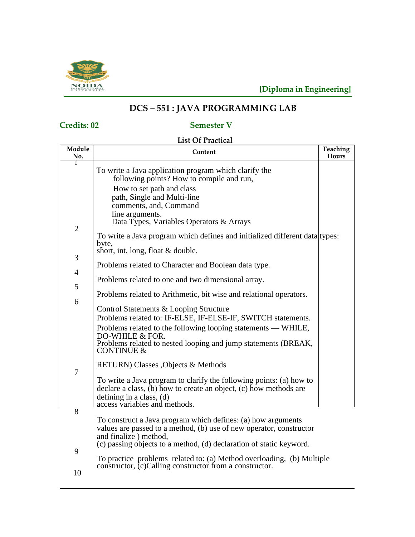

# **DCS – 551 : JAVA PROGRAMMING LAB**

# **Credits: 02 Semester V**

# **List Of Practical**

| Module              | Content                                                                                                                                                                                                                                                 | Teaching |
|---------------------|---------------------------------------------------------------------------------------------------------------------------------------------------------------------------------------------------------------------------------------------------------|----------|
| No.                 |                                                                                                                                                                                                                                                         | Hours    |
| 1                   | To write a Java application program which clarify the<br>following points? How to compile and run,<br>How to set path and class<br>path, Single and Multi-line<br>comments, and, Command<br>line arguments.<br>Data Types, Variables Operators & Arrays |          |
| $\overline{2}$      | To write a Java program which defines and initialized different data types:<br>byte,<br>short, int, long, float & double.                                                                                                                               |          |
| 3<br>$\overline{4}$ | Problems related to Character and Boolean data type.                                                                                                                                                                                                    |          |
| 5                   | Problems related to one and two dimensional array.                                                                                                                                                                                                      |          |
| 6                   | Problems related to Arithmetic, bit wise and relational operators.<br>Control Statements & Looping Structure                                                                                                                                            |          |
|                     | Problems related to: IF-ELSE, IF-ELSE-IF, SWITCH statements.<br>Problems related to the following looping statements — WHILE,<br>DO-WHILE & FOR.<br>Problems related to nested looping and jump statements (BREAK,<br><b>CONTINUE &amp;</b>             |          |
| 7                   | RETURN) Classes , Objects & Methods                                                                                                                                                                                                                     |          |
|                     | To write a Java program to clarify the following points: (a) how to<br>declare a class, (b) how to create an object, (c) how methods are<br>defining in a class, $(d)$<br>access variables and methods.                                                 |          |
| 8                   | To construct a Java program which defines: (a) how arguments<br>values are passed to a method, (b) use of new operator, constructor<br>and finalize) method,<br>(c) passing objects to a method, (d) declaration of static keyword.                     |          |
| 9<br>10             | To practice problems related to: (a) Method overloading, (b) Multiple<br>constructor, (c)Calling constructor from a constructor.                                                                                                                        |          |